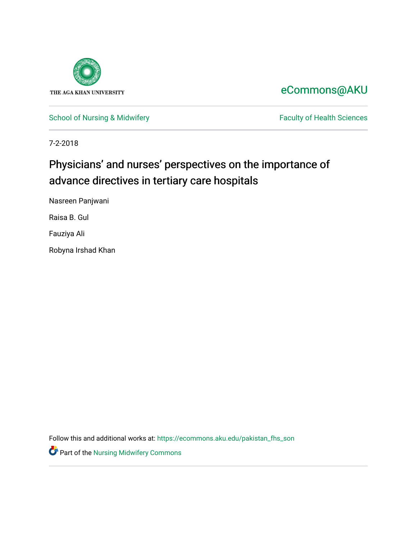

### [eCommons@AKU](https://ecommons.aku.edu/)

[School of Nursing & Midwifery](https://ecommons.aku.edu/pakistan_fhs_son) Faculty of Health Sciences

7-2-2018

### Physicians' and nurses' perspectives on the importance of advance directives in tertiary care hospitals

Nasreen Panjwani

Raisa B. Gul

Fauziya Ali

Robyna Irshad Khan

Follow this and additional works at: [https://ecommons.aku.edu/pakistan\\_fhs\\_son](https://ecommons.aku.edu/pakistan_fhs_son?utm_source=ecommons.aku.edu%2Fpakistan_fhs_son%2F450&utm_medium=PDF&utm_campaign=PDFCoverPages) 

Part of the [Nursing Midwifery Commons](http://network.bepress.com/hgg/discipline/722?utm_source=ecommons.aku.edu%2Fpakistan_fhs_son%2F450&utm_medium=PDF&utm_campaign=PDFCoverPages)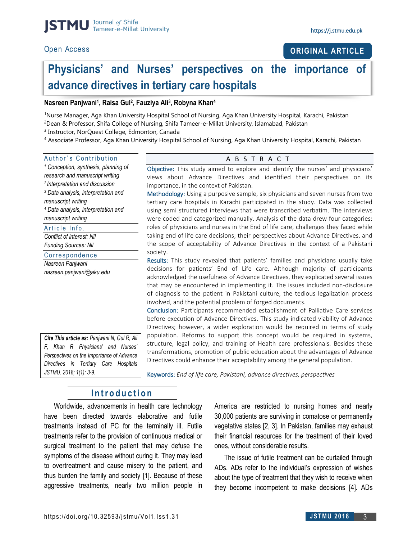#### **ORIGINAL ARTICLE**

### **Physicians' and Nurses' perspectives on the importance of advance directives in tertiary care hospitals**

#### **Nasreen Panjwani<sup>1</sup> , Raisa Gul<sup>2</sup> , Fauziya Ali<sup>3</sup> , Robyna Khan<sup>4</sup>**

<sup>1</sup>Nurse Manager, Aga Khan University Hospital School of Nursing, Aga Khan University Hospital, Karachi, Pakistan <sup>2</sup>Dean & Professor, Shifa College of Nursing, Shifa Tameer-e-Millat University, Islamabad, Pakistan

<sup>3</sup> Instructor, NorQuest College, Edmonton, Canada

<sup>4</sup> Associate Professor, Aga Khan University Hospital School of Nursing, Aga Khan University Hospital, Karachi, Pakistan

| Author's Contribution |  |
|-----------------------|--|
|                       |  |

*<sup>1</sup> Conception, synthesis, planning of research and manuscript writing <sup>2</sup>Interpretation and discussion <sup>3</sup> Data analysis, interpretation and manuscript writing <sup>4</sup> Data analysis, interpretation and manuscript writing*  Article Info.

*Conflict of interest: Nil Funding Sources: Nil*

#### Correspondence

*Nasreen Panjwani nasreen.panjwani@aku.edu*

*Cite This article as: Panjwani N, Gul R, Ali F, Khan R Physicians' and Nurses' Perspectives on the Importance of Advance Directives in Tertiary Care Hospitals JSTMU. 2018; 1(1): 3-9.*

Objective: This study aimed to explore and identify the nurses' and physicians' views about Advance Directives and identified their perspectives on its importance, in the context of Pakistan.

A B S T R A C T

Methodology: Using a purposive sample, six physicians and seven nurses from two tertiary care hospitals in Karachi participated in the study. Data was collected using semi structured interviews that were transcribed verbatim. The interviews were coded and categorized manually. Analysis of the data drew four categories: roles of physicians and nurses in the End of life care, challenges they faced while taking end of life care decisions; their perspectives about Advance Directives, and the scope of acceptability of Advance Directives in the context of a Pakistani society.

Results: This study revealed that patients' families and physicians usually take decisions for patients' End of Life care. Although majority of participants acknowledged the usefulness of Advance Directives, they explicated several issues that may be encountered in implementing it. The issues included non-disclosure of diagnosis to the patient in Pakistani culture, the tedious legalization process involved, and the potential problem of forged documents.

Conclusion: Participants recommended establishment of Palliative Care services before execution of Advance Directives. This study indicated viability of Advance Directives; however, a wider exploration would be required in terms of study population. Reforms to support this concept would be required in systems, structure, legal policy, and training of Health care professionals. Besides these transformations, promotion of public education about the advantages of Advance Directives could enhance their acceptability among the general population.

Keywords: *End of life care, Pakistani, advance directives, perspectives*

### **I n t r o d u c t i o n**

Worldwide, advancements in health care technology have been directed towards elaborative and futile treatments instead of PC for the terminally ill. Futile treatments refer to the provision of continuous medical or surgical treatment to the patient that may defuse the symptoms of the disease without curing it. They may lead to overtreatment and cause misery to the patient, and thus burden the family and society [1]. Because of these aggressive treatments, nearly two million people in America are restricted to nursing homes and nearly 30,000 patients are surviving in comatose or permanently vegetative states [2, 3]. In Pakistan, families may exhaust their financial resources for the treatment of their loved ones, without considerable results.

The issue of futile treatment can be curtailed through ADs. ADs refer to the individual's expression of wishes about the type of treatment that they wish to receive when they become incompetent to make decisions [4]. ADs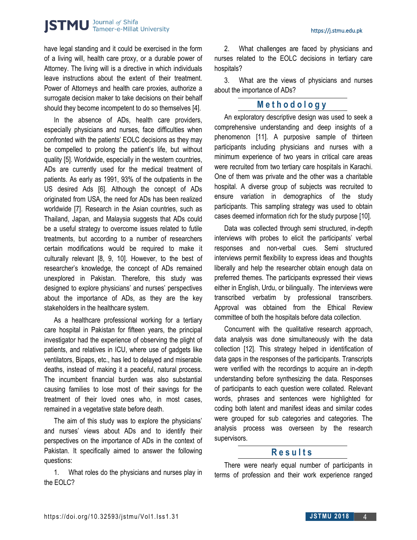have legal standing and it could be exercised in the form of a living will, health care proxy, or a durable power of Attorney. The living will is a directive in which individuals leave instructions about the extent of their treatment. Power of Attorneys and health care proxies, authorize a surrogate decision maker to take decisions on their behalf should they become incompetent to do so themselves [4].

In the absence of ADs, health care providers, especially physicians and nurses, face difficulties when confronted with the patients' EOLC decisions as they may be compelled to prolong the patient's life, but without quality [5]. Worldwide, especially in the western countries, ADs are currently used for the medical treatment of patients. As early as 1991, 93% of the outpatients in the US desired Ads [6]. Although the concept of ADs originated from USA, the need for ADs has been realized worldwide [7]. Research in the Asian countries, such as Thailand, Japan, and Malaysia suggests that ADs could be a useful strategy to overcome issues related to futile treatments, but according to a number of researchers certain modifications would be required to make it culturally relevant [8, 9, 10]. However, to the best of researcher's knowledge, the concept of ADs remained unexplored in Pakistan. Therefore, this study was designed to explore physicians' and nurses' perspectives about the importance of ADs, as they are the key stakeholders in the healthcare system.

As a healthcare professional working for a tertiary care hospital in Pakistan for fifteen years, the principal investigator had the experience of observing the plight of patients, and relatives in ICU, where use of gadgets like ventilators, Bipaps, etc., has led to delayed and miserable deaths, instead of making it a peaceful, natural process. The incumbent financial burden was also substantial causing families to lose most of their savings for the treatment of their loved ones who, in most cases, remained in a vegetative state before death.

The aim of this study was to explore the physicians' and nurses' views about ADs and to identify their perspectives on the importance of ADs in the context of Pakistan. It specifically aimed to answer the following questions:

1. What roles do the physicians and nurses play in the EOLC?

2. What challenges are faced by physicians and nurses related to the EOLC decisions in tertiary care hospitals?

3. What are the views of physicians and nurses about the importance of ADs?

#### **M e t h o d o l o g y**

An exploratory descriptive design was used to seek a comprehensive understanding and deep insights of a phenomenon [11]. A purposive sample of thirteen participants including physicians and nurses with a minimum experience of two years in critical care areas were recruited from two tertiary care hospitals in Karachi. One of them was private and the other was a charitable hospital. A diverse group of subjects was recruited to ensure variation in demographics of the study participants. This sampling strategy was used to obtain cases deemed information rich for the study purpose [10].

Data was collected through semi structured, in-depth interviews with probes to elicit the participants' verbal responses and non-verbal cues. Semi structured interviews permit flexibility to express ideas and thoughts liberally and help the researcher obtain enough data on preferred themes. The participants expressed their views either in English, Urdu, or bilingually. The interviews were transcribed verbatim by professional transcribers. Approval was obtained from the Ethical Review committee of both the hospitals before data collection.

Concurrent with the qualitative research approach, data analysis was done simultaneously with the data collection [12]. This strategy helped in identification of data gaps in the responses of the participants. Transcripts were verified with the recordings to acquire an in-depth understanding before synthesizing the data. Responses of participants to each question were collated. Relevant words, phrases and sentences were highlighted for coding both latent and manifest ideas and similar codes were grouped for sub categories and categories. The analysis process was overseen by the research supervisors.

#### **R e s u l t s**

There were nearly equal number of participants in terms of profession and their work experience ranged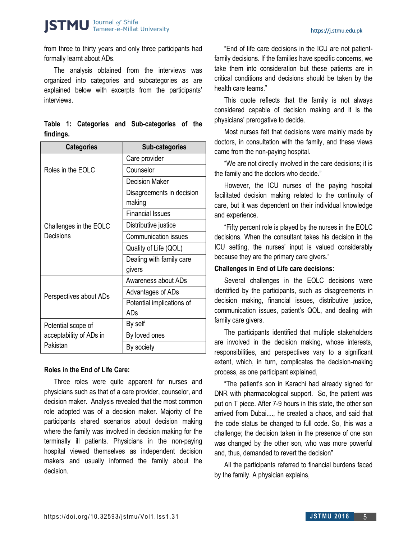#### https://j.stmu.edu.pk

from three to thirty years and only three participants had formally learnt about ADs.

The analysis obtained from the interviews was organized into categories and subcategories as are explained below with excerpts from the participants' interviews.

|           |  | Table 1: Categories and Sub-categories of the |  |
|-----------|--|-----------------------------------------------|--|
| findings. |  |                                               |  |

| <b>Categories</b>       | <b>Sub-categories</b>       |  |  |
|-------------------------|-----------------------------|--|--|
|                         | Care provider               |  |  |
| Roles in the EOLC       | Counselor                   |  |  |
|                         | Decision Maker              |  |  |
|                         | Disagreements in decision   |  |  |
|                         | making                      |  |  |
|                         | <b>Financial Issues</b>     |  |  |
| Challenges in the EOLC  | Distributive justice        |  |  |
| Decisions               | <b>Communication issues</b> |  |  |
|                         | Quality of Life (QOL)       |  |  |
|                         | Dealing with family care    |  |  |
|                         | givers                      |  |  |
|                         | Awareness about ADs         |  |  |
| Perspectives about ADs  | Advantages of ADs           |  |  |
|                         | Potential implications of   |  |  |
|                         | ADs                         |  |  |
| Potential scope of      | By self                     |  |  |
| acceptability of ADs in | By loved ones               |  |  |
| Pakistan                | By society                  |  |  |

#### **Roles in the End of Life Care:**

Three roles were quite apparent for nurses and physicians such as that of a care provider, counselor, and decision maker. Analysis revealed that the most common role adopted was of a decision maker. Majority of the participants shared scenarios about decision making where the family was involved in decision making for the terminally ill patients. Physicians in the non-paying hospital viewed themselves as independent decision makers and usually informed the family about the decision.

"End of life care decisions in the ICU are not patientfamily decisions. If the families have specific concerns, we take them into consideration but these patients are in critical conditions and decisions should be taken by the health care teams."

This quote reflects that the family is not always considered capable of decision making and it is the physicians' prerogative to decide.

Most nurses felt that decisions were mainly made by doctors, in consultation with the family, and these views came from the non-paying hospital.

"We are not directly involved in the care decisions; it is the family and the doctors who decide."

However, the ICU nurses of the paying hospital facilitated decision making related to the continuity of care, but it was dependent on their individual knowledge and experience.

"Fifty percent role is played by the nurses in the EOLC decisions. When the consultant takes his decision in the ICU setting, the nurses' input is valued considerably because they are the primary care givers."

#### **Challenges in End of Life care decisions:**

Several challenges in the EOLC decisions were identified by the participants, such as disagreements in decision making, financial issues, distributive justice, communication issues, patient's QOL, and dealing with family care givers.

The participants identified that multiple stakeholders are involved in the decision making, whose interests, responsibilities, and perspectives vary to a significant extent, which, in turn, complicates the decision-making process, as one participant explained,

"The patient's son in Karachi had already signed for DNR with pharmacological support. So, the patient was put on T piece. After 7-9 hours in this state, the other son arrived from Dubai...., he created a chaos, and said that the code status be changed to full code. So, this was a challenge; the decision taken in the presence of one son was changed by the other son, who was more powerful and, thus, demanded to revert the decision"

All the participants referred to financial burdens faced by the family. A physician explains,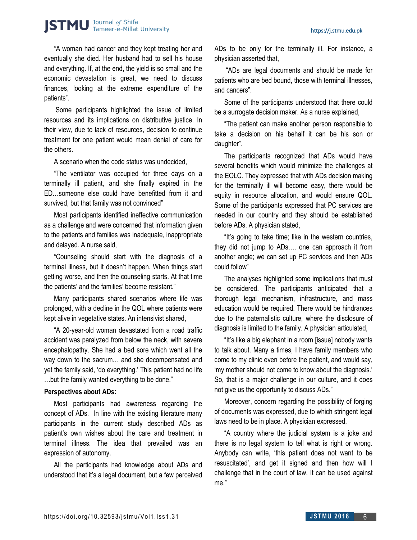"A woman had cancer and they kept treating her and eventually she died. Her husband had to sell his house and everything. If, at the end, the yield is so small and the economic devastation is great, we need to discuss finances, looking at the extreme expenditure of the patients".

Some participants highlighted the issue of limited resources and its implications on distributive justice. In their view, due to lack of resources, decision to continue treatment for one patient would mean denial of care for the others.

A scenario when the code status was undecided,

"The ventilator was occupied for three days on a terminally ill patient, and she finally expired in the ED…someone else could have benefitted from it and survived, but that family was not convinced"

Most participants identified ineffective communication as a challenge and were concerned that information given to the patients and families was inadequate, inappropriate and delayed. A nurse said,

"Counseling should start with the diagnosis of a terminal illness, but it doesn't happen. When things start getting worse, and then the counseling starts. At that time the patients' and the families' become resistant."

Many participants shared scenarios where life was prolonged, with a decline in the QOL where patients were kept alive in vegetative states. An intensivist shared,

"A 20-year-old woman devastated from a road traffic accident was paralyzed from below the neck, with severe encephalopathy. She had a bed sore which went all the way down to the sacrum… and she decompensated and yet the family said, 'do everything.' This patient had no life …but the family wanted everything to be done."

#### **Perspectives about ADs:**

Most participants had awareness regarding the concept of ADs. In line with the existing literature many participants in the current study described ADs as patient's own wishes about the care and treatment in terminal illness. The idea that prevailed was an expression of autonomy.

All the participants had knowledge about ADs and understood that it's a legal document, but a few perceived ADs to be only for the terminally ill. For instance, a physician asserted that,

"ADs are legal documents and should be made for patients who are bed bound, those with terminal illnesses, and cancers".

Some of the participants understood that there could be a surrogate decision maker. As a nurse explained,

"The patient can make another person responsible to take a decision on his behalf it can be his son or daughter".

The participants recognized that ADs would have several benefits which would minimize the challenges at the EOLC. They expressed that with ADs decision making for the terminally ill will become easy, there would be equity in resource allocation, and would ensure QOL. Some of the participants expressed that PC services are needed in our country and they should be established before ADs. A physician stated,

"It's going to take time; like in the western countries, they did not jump to ADs…. one can approach it from another angle; we can set up PC services and then ADs could follow"

The analyses highlighted some implications that must be considered. The participants anticipated that a thorough legal mechanism, infrastructure, and mass education would be required. There would be hindrances due to the paternalistic culture, where the disclosure of diagnosis is limited to the family. A physician articulated,

"It's like a big elephant in a room [issue] nobody wants to talk about. Many a times, I have family members who come to my clinic even before the patient, and would say, 'my mother should not come to know about the diagnosis.' So, that is a major challenge in our culture, and it does not give us the opportunity to discuss ADs."

Moreover, concern regarding the possibility of forging of documents was expressed, due to which stringent legal laws need to be in place. A physician expressed,

"A country where the judicial system is a joke and there is no legal system to tell what is right or wrong. Anybody can write, 'this patient does not want to be resuscitated', and get it signed and then how will I challenge that in the court of law. It can be used against me."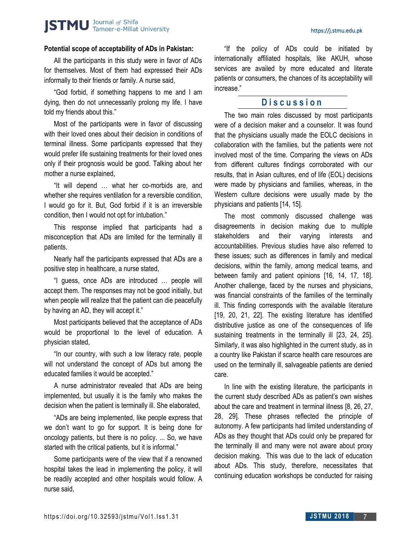#### https://j.stmu.edu.pk

#### **Potential scope of acceptability of ADs in Pakistan:**

All the participants in this study were in favor of ADs for themselves. Most of them had expressed their ADs informally to their friends or family. A nurse said,

"God forbid, if something happens to me and I am dying, then do not unnecessarily prolong my life. I have told my friends about this."

Most of the participants were in favor of discussing with their loved ones about their decision in conditions of terminal illness. Some participants expressed that they would prefer life sustaining treatments for their loved ones only if their prognosis would be good. Talking about her mother a nurse explained,

"It will depend … what her co-morbids are, and whether she requires ventilation for a reversible condition, I would go for it. But, God forbid if it is an irreversible condition, then I would not opt for intubation."

This response implied that participants had a misconception that ADs are limited for the terminally ill patients.

Nearly half the participants expressed that ADs are a positive step in healthcare, a nurse stated,

"I guess, once ADs are introduced … people will accept them. The responses may not be good initially, but when people will realize that the patient can die peacefully by having an AD, they will accept it."

Most participants believed that the acceptance of ADs would be proportional to the level of education. A physician stated,

"In our country, with such a low literacy rate, people will not understand the concept of ADs but among the educated families it would be accepted."

A nurse administrator revealed that ADs are being implemented, but usually it is the family who makes the decision when the patient is terminally ill. She elaborated,

"ADs are being implemented, like people express that we don't want to go for support. It is being done for oncology patients, but there is no policy. ... So, we have started with the critical patients, but it is informal."

Some participants were of the view that if a renowned hospital takes the lead in implementing the policy, it will be readily accepted and other hospitals would follow. A nurse said,

"If the policy of ADs could be initiated by internationally affiliated hospitals, like AKUH, whose services are availed by more educated and literate patients or consumers, the chances of its acceptability will increase."

#### **D i s c u s s i o n**

The two main roles discussed by most participants were of a decision maker and a counselor. It was found that the physicians usually made the EOLC decisions in collaboration with the families, but the patients were not involved most of the time. Comparing the views on ADs from different cultures findings corroborated with our results, that in Asian cultures, end of life (EOL) decisions were made by physicians and families, whereas, in the Western culture decisions were usually made by the physicians and patients [14, 15].

The most commonly discussed challenge was disagreements in decision making due to multiple stakeholders and their varying interests and accountabilities. Previous studies have also referred to these issues; such as differences in family and medical decisions, within the family, among medical teams, and between family and patient opinions [16, 14, 17, 18]. Another challenge, faced by the nurses and physicians, was financial constraints of the families of the terminally ill. This finding corresponds with the available literature [19, 20, 21, 22]. The existing literature has identified distributive justice as one of the consequences of life sustaining treatments in the terminally ill [23, 24, 25]. Similarly, it was also highlighted in the current study, as in a country like Pakistan if scarce health care resources are used on the terminally ill, salvageable patients are denied care.

In line with the existing literature, the participants in the current study described ADs as patient's own wishes about the care and treatment in terminal illness [8, 26, 27, 28, 29]. These phrases reflected the principle of autonomy. A few participants had limited understanding of ADs as they thought that ADs could only be prepared for the terminally ill and many were not aware about proxy decision making. This was due to the lack of education about ADs. This study, therefore, necessitates that continuing education workshops be conducted for raising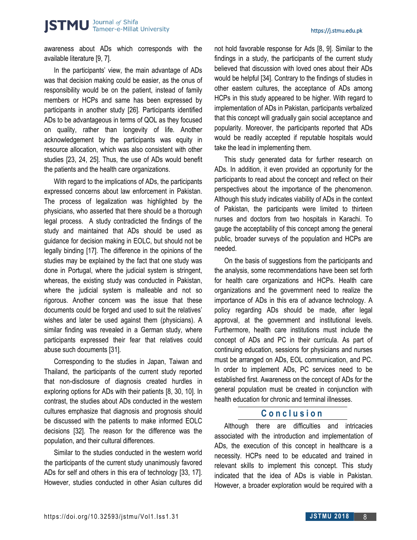awareness about ADs which corresponds with the available literature [9, 7].

In the participants' view, the main advantage of ADs was that decision making could be easier, as the onus of responsibility would be on the patient, instead of family members or HCPs and same has been expressed by participants in another study [26]. Participants identified ADs to be advantageous in terms of QOL as they focused on quality, rather than longevity of life. Another acknowledgement by the participants was equity in resource allocation, which was also consistent with other studies [23, 24, 25]. Thus, the use of ADs would benefit the patients and the health care organizations.

With regard to the implications of ADs, the participants expressed concerns about law enforcement in Pakistan. The process of legalization was highlighted by the physicians, who asserted that there should be a thorough legal process. A study contradicted the findings of the study and maintained that ADs should be used as guidance for decision making in EOLC, but should not be legally binding [17]. The difference in the opinions of the studies may be explained by the fact that one study was done in Portugal, where the judicial system is stringent, whereas, the existing study was conducted in Pakistan, where the judicial system is malleable and not so rigorous. Another concern was the issue that these documents could be forged and used to suit the relatives' wishes and later be used against them (physicians). A similar finding was revealed in a German study, where participants expressed their fear that relatives could abuse such documents [31].

Corresponding to the studies in Japan, Taiwan and Thailand, the participants of the current study reported that non-disclosure of diagnosis created hurdles in exploring options for ADs with their patients [8, 30, 10]. In contrast, the studies about ADs conducted in the western cultures emphasize that diagnosis and prognosis should be discussed with the patients to make informed EOLC decisions [32]. The reason for the difference was the population, and their cultural differences.

Similar to the studies conducted in the western world the participants of the current study unanimously favored ADs for self and others in this era of technology [33, 17]. However, studies conducted in other Asian cultures did not hold favorable response for Ads [8, 9]. Similar to the findings in a study, the participants of the current study believed that discussion with loved ones about their ADs would be helpful [34]. Contrary to the findings of studies in other eastern cultures, the acceptance of ADs among HCPs in this study appeared to be higher. With regard to implementation of ADs in Pakistan, participants verbalized that this concept will gradually gain social acceptance and popularity. Moreover, the participants reported that ADs would be readily accepted if reputable hospitals would take the lead in implementing them.

This study generated data for further research on ADs. In addition, it even provided an opportunity for the participants to read about the concept and reflect on their perspectives about the importance of the phenomenon. Although this study indicates viability of ADs in the context of Pakistan, the participants were limited to thirteen nurses and doctors from two hospitals in Karachi. To gauge the acceptability of this concept among the general public, broader surveys of the population and HCPs are needed.

On the basis of suggestions from the participants and the analysis, some recommendations have been set forth for health care organizations and HCPs. Health care organizations and the government need to realize the importance of ADs in this era of advance technology. A policy regarding ADs should be made, after legal approval, at the government and institutional levels. Furthermore, health care institutions must include the concept of ADs and PC in their curricula. As part of continuing education, sessions for physicians and nurses must be arranged on ADs, EOL communication, and PC. In order to implement ADs, PC services need to be established first. Awareness on the concept of ADs for the general population must be created in conjunction with health education for chronic and terminal illnesses.

#### **C o n c l u s i o n**

Although there are difficulties and intricacies associated with the introduction and implementation of ADs, the execution of this concept in healthcare is a necessity. HCPs need to be educated and trained in relevant skills to implement this concept. This study indicated that the idea of ADs is viable in Pakistan. However, a broader exploration would be required with a